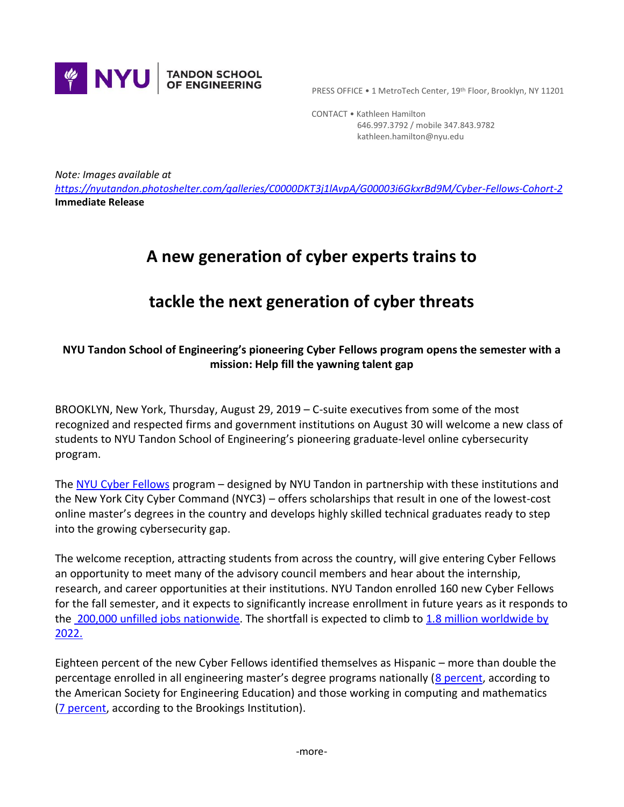

PRESS OFFICE • 1 MetroTech Center, 19th Floor, Brooklyn, NY 11201

 CONTACT • Kathleen Hamilton 646.997.3792 / mobile 347.843.9782 kathleen.hamilton@nyu.edu

*Note: Images available at <https://nyutandon.photoshelter.com/galleries/C0000DKT3j1lAvpA/G00003i6GkxrBd9M/Cyber-Fellows-Cohort-2>* **Immediate Release**

## **A new generation of cyber experts trains to**

## **tackle the next generation of cyber threats**

## **NYU Tandon School of Engineering's pioneering Cyber Fellows program opens the semester with a mission: Help fill the yawning talent gap**

BROOKLYN, New York, Thursday, August 29, 2019 – C-suite executives from some of the most recognized and respected firms and government institutions on August 30 will welcome a new class of students to NYU Tandon School of Engineering's pioneering graduate-level online cybersecurity program.

The NYU [Cyber Fellows](https://engineering.nyu.edu/academics/programs/cybersecurity-ms-online/ny-cyber-fellowship) program – designed by NYU Tandon in partnership with these institutions and the New York City Cyber Command (NYC3) – offers scholarships that result in one of the lowest-cost online master's degrees in the country and develops highly skilled technical graduates ready to step into the growing cybersecurity gap.

The welcome reception, attracting students from across the country, will give entering Cyber Fellows an opportunity to meet many of the advisory council members and hear about the internship, research, and career opportunities at their institutions. NYU Tandon enrolled 160 new Cyber Fellows for the fall semester, and it expects to significantly increase enrollment in future years as it responds to the [200,000 unfilled jobs nationwide.](http://cyberseek.org/) The shortfall is expected to climb to [1.8 million worldwide by](https://www.prnewswire.com/news-releases/global-cybersecurity-workforce-shortage-to-reach-18-million-as-threats-loom-larger-and-stakes-rise-higher-300469866.html)  [2022.](https://www.prnewswire.com/news-releases/global-cybersecurity-workforce-shortage-to-reach-18-million-as-threats-loom-larger-and-stakes-rise-higher-300469866.html)

Eighteen percent of the new Cyber Fellows identified themselves as Hispanic – more than double the percentage enrolled in all engineering master's degree programs nationally ([8 percent,](https://www.asee.org/documents/papers-and-publications/publications/college-profiles/2017-Engineering-by-Numbers-Engineering-Statistics.pdf) according to the American Society for Engineering Education) and those working in computing and mathematics [\(7 percent,](https://www.brookings.edu/research/black-and-hispanic-underrepresentation-in-tech-its-time-to-change-the-equation/) according to the Brookings Institution).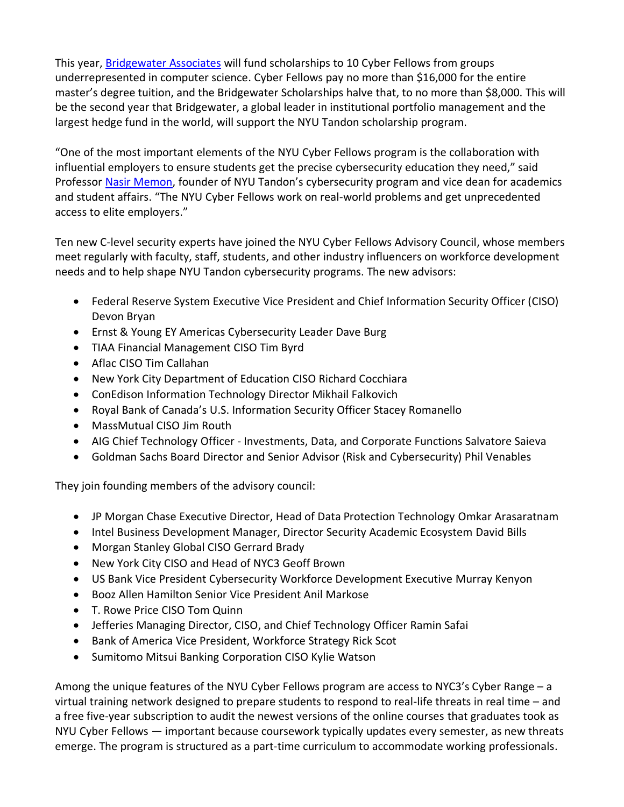This year, [Bridgewater Associates](https://www.bridgewater.com/) will fund scholarships to 10 Cyber Fellows from groups underrepresented in computer science. Cyber Fellows pay no more than \$16,000 for the entire master's degree tuition, and the Bridgewater Scholarships halve that, to no more than \$8,000. This will be the second year that Bridgewater, a global leader in institutional portfolio management and the largest hedge fund in the world, will support the NYU Tandon scholarship program.

"One of the most important elements of the NYU Cyber Fellows program is the collaboration with influential employers to ensure students get the precise cybersecurity education they need," said Professor [Nasir Memon,](http://engineering.nyu.edu/people/nasir-memon) founder of NYU Tandon's cybersecurity program and vice dean for academics and student affairs. "The NYU Cyber Fellows work on real-world problems and get unprecedented access to elite employers."

Ten new C-level security experts have joined the NYU Cyber Fellows Advisory Council, whose members meet regularly with faculty, staff, students, and other industry influencers on workforce development needs and to help shape NYU Tandon cybersecurity programs. The new advisors:

- Federal Reserve System Executive Vice President and Chief Information Security Officer (CISO) Devon Bryan
- Ernst & Young EY Americas Cybersecurity Leader Dave Burg
- TIAA Financial Management CISO Tim Byrd
- Aflac CISO Tim Callahan
- New York City Department of Education CISO Richard Cocchiara
- ConEdison Information Technology Director Mikhail Falkovich
- Royal Bank of Canada's U.S. Information Security Officer Stacey Romanello
- MassMutual CISO Jim Routh
- AIG Chief Technology Officer Investments, Data, and Corporate Functions Salvatore Saieva
- Goldman Sachs Board Director and Senior Advisor (Risk and Cybersecurity) Phil Venables

They join founding members of the advisory council:

- JP Morgan Chase Executive Director, Head of Data Protection Technology Omkar Arasaratnam
- Intel Business Development Manager, Director Security Academic Ecosystem David Bills
- Morgan Stanley Global CISO Gerrard Brady
- New York City CISO and Head of NYC3 Geoff Brown
- US Bank Vice President Cybersecurity Workforce Development Executive Murray Kenyon
- Booz Allen Hamilton Senior Vice President Anil Markose
- T. Rowe Price CISO Tom Quinn
- Jefferies Managing Director, CISO, and Chief Technology Officer Ramin Safai
- Bank of America Vice President, Workforce Strategy Rick Scot
- Sumitomo Mitsui Banking Corporation CISO Kylie Watson

Among the unique features of the NYU Cyber Fellows program are access to NYC3's Cyber Range – a virtual training network designed to prepare students to respond to real-life threats in real time – and a free five-year subscription to audit the newest versions of the online courses that graduates took as NYU Cyber Fellows — important because coursework typically updates every semester, as new threats emerge. The program is structured as a part-time curriculum to accommodate working professionals.